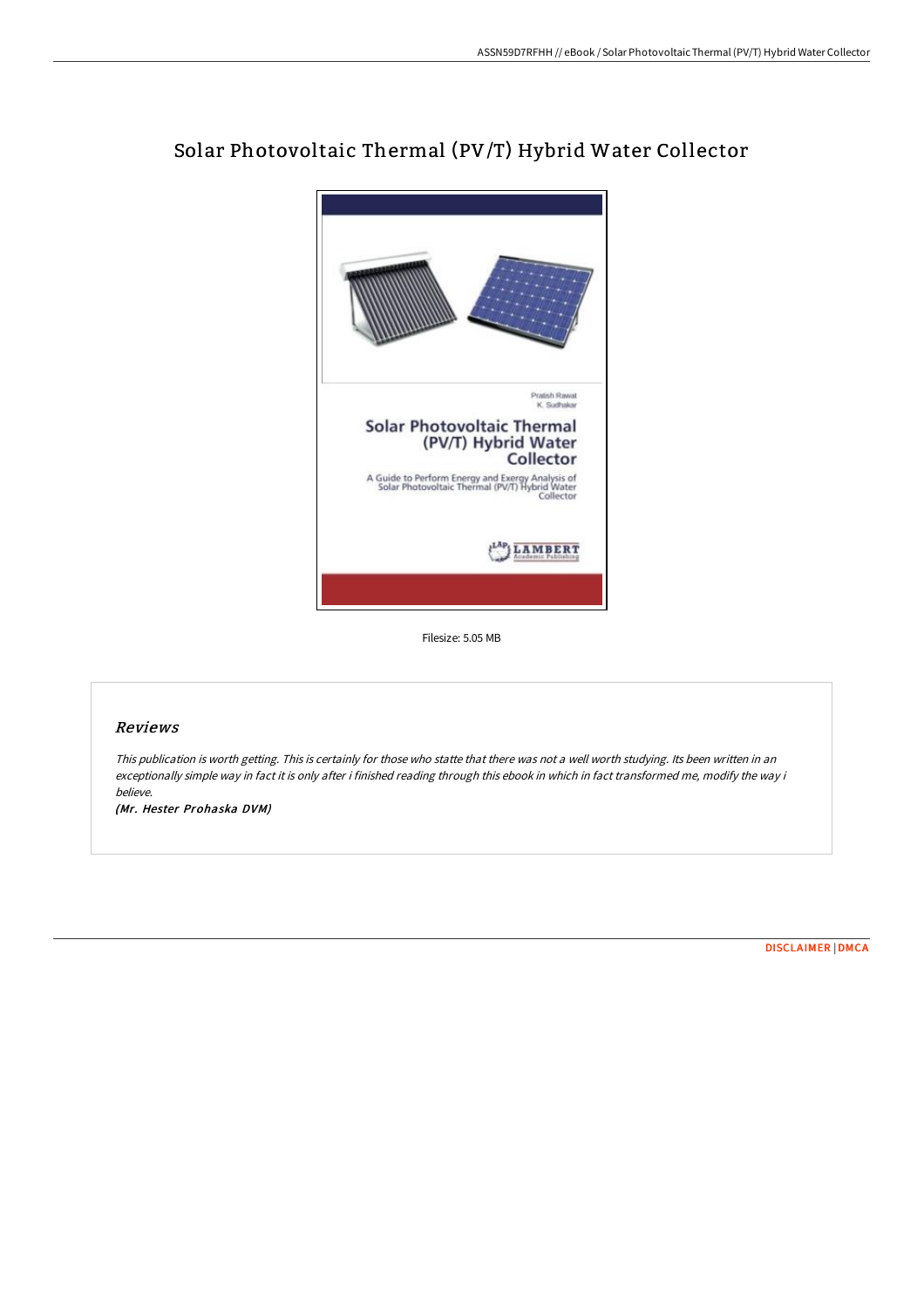

# Solar Photovoltaic Thermal (PV/T) Hybrid Water Collector

Filesize: 5.05 MB

#### Reviews

This publication is worth getting. This is certainly for those who statte that there was not <sup>a</sup> well worth studying. Its been written in an exceptionally simple way in fact it is only after i finished reading through this ebook in which in fact transformed me, modify the way i believe.

(Mr. Hester Prohaska DVM)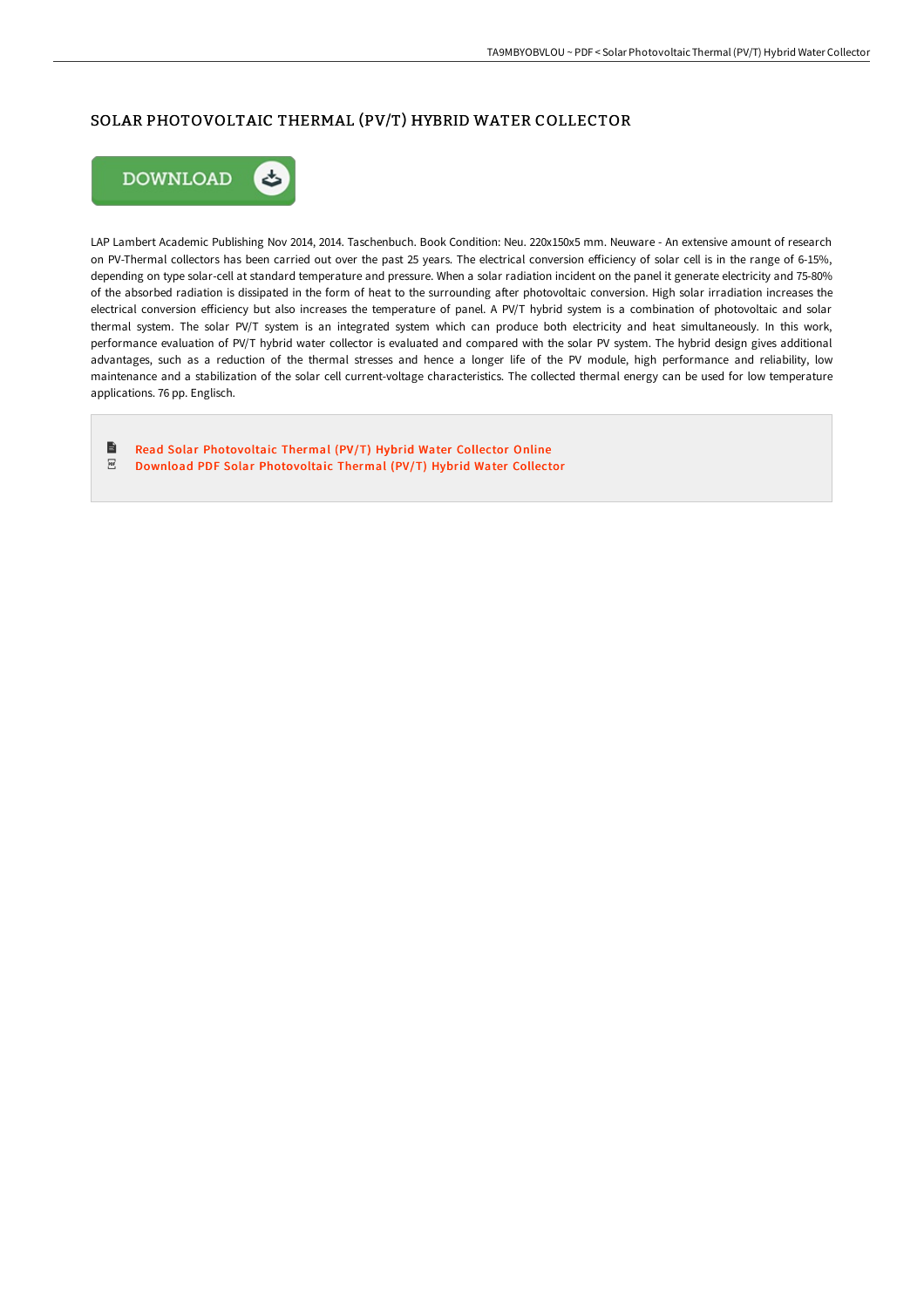## SOLAR PHOTOVOLTAIC THERMAL (PV/T) HYBRID WATER COLLECTOR



LAP Lambert Academic Publishing Nov 2014, 2014. Taschenbuch. Book Condition: Neu. 220x150x5 mm. Neuware - An extensive amount of research on PV-Thermal collectors has been carried out over the past 25 years. The electrical conversion efficiency of solar cell is in the range of 6-15%, depending on type solar-cell at standard temperature and pressure. When a solar radiation incident on the panel it generate electricity and 75-80% of the absorbed radiation is dissipated in the form of heat to the surrounding after photovoltaic conversion. High solar irradiation increases the electrical conversion efficiency but also increases the temperature of panel. A PV/T hybrid system is a combination of photovoltaic and solar thermal system. The solar PV/T system is an integrated system which can produce both electricity and heat simultaneously. In this work, performance evaluation of PV/T hybrid water collector is evaluated and compared with the solar PV system. The hybrid design gives additional advantages, such as a reduction of the thermal stresses and hence a longer life of the PV module, high performance and reliability, low maintenance and a stabilization of the solar cell current-voltage characteristics. The collected thermal energy can be used for low temperature applications. 76 pp. Englisch.

 $\blacksquare$ Read Solar [Photovoltaic](http://bookera.tech/solar-photovoltaic-thermal-pv-x2f-t-hybrid-water.html) Thermal (PV/T) Hybrid Water Collector Online  $_{\rm PDF}$ Download PDF Solar [Photovoltaic](http://bookera.tech/solar-photovoltaic-thermal-pv-x2f-t-hybrid-water.html) Thermal (PV/T) Hybrid Water Collector